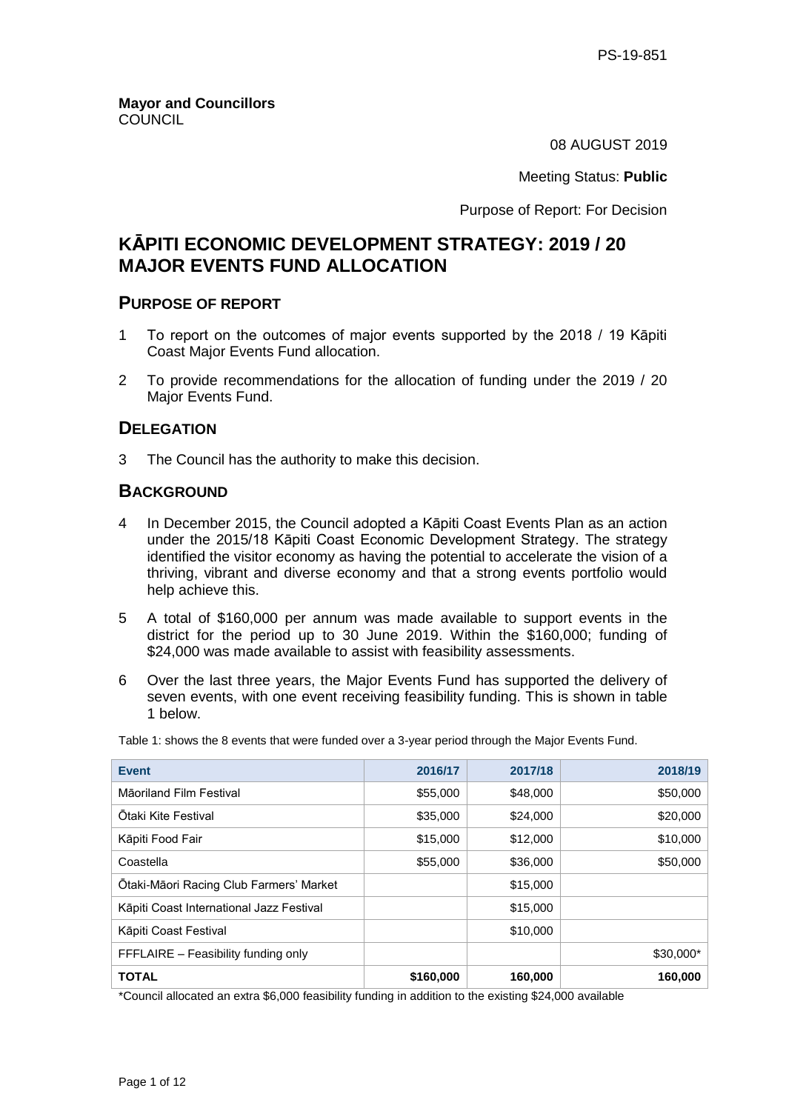08 AUGUST 2019

Meeting Status: **Public**

Purpose of Report: For Decision

# **KĀPITI ECONOMIC DEVELOPMENT STRATEGY: 2019 / 20 MAJOR EVENTS FUND ALLOCATION**

## **PURPOSE OF REPORT**

- 1 To report on the outcomes of major events supported by the 2018 / 19 Kāpiti Coast Major Events Fund allocation.
- 2 To provide recommendations for the allocation of funding under the 2019 / 20 Major Events Fund.

## **DELEGATION**

3 The Council has the authority to make this decision.

## **BACKGROUND**

- 4 In December 2015, the Council adopted a Kāpiti Coast Events Plan as an action under the 2015/18 Kāpiti Coast Economic Development Strategy. The strategy identified the visitor economy as having the potential to accelerate the vision of a thriving, vibrant and diverse economy and that a strong events portfolio would help achieve this.
- 5 A total of \$160,000 per annum was made available to support events in the district for the period up to 30 June 2019. Within the \$160,000; funding of \$24,000 was made available to assist with feasibility assessments.
- 6 Over the last three years, the Major Events Fund has supported the delivery of seven events, with one event receiving feasibility funding. This is shown in table 1 below.

| Table 1: shows the 8 events that were funded over a 3-year period through the Major Events Fund. |  |
|--------------------------------------------------------------------------------------------------|--|
|--------------------------------------------------------------------------------------------------|--|

| <b>Event</b>                             | 2016/17   | 2017/18  | 2018/19   |
|------------------------------------------|-----------|----------|-----------|
| Māoriland Film Festival                  | \$55,000  | \$48,000 | \$50,000  |
| Otaki Kite Festival                      | \$35,000  | \$24,000 | \$20,000  |
| Kāpiti Food Fair                         | \$15,000  | \$12,000 | \$10,000  |
| Coastella                                | \$55,000  | \$36,000 | \$50,000  |
| Otaki-Māori Racing Club Farmers' Market  |           | \$15,000 |           |
| Kāpiti Coast International Jazz Festival |           | \$15,000 |           |
| Kāpiti Coast Festival                    |           | \$10,000 |           |
| FFFLAIRE - Feasibility funding only      |           |          | \$30,000* |
| <b>TOTAL</b>                             | \$160,000 | 160,000  | 160,000   |

\*Council allocated an extra \$6,000 feasibility funding in addition to the existing \$24,000 available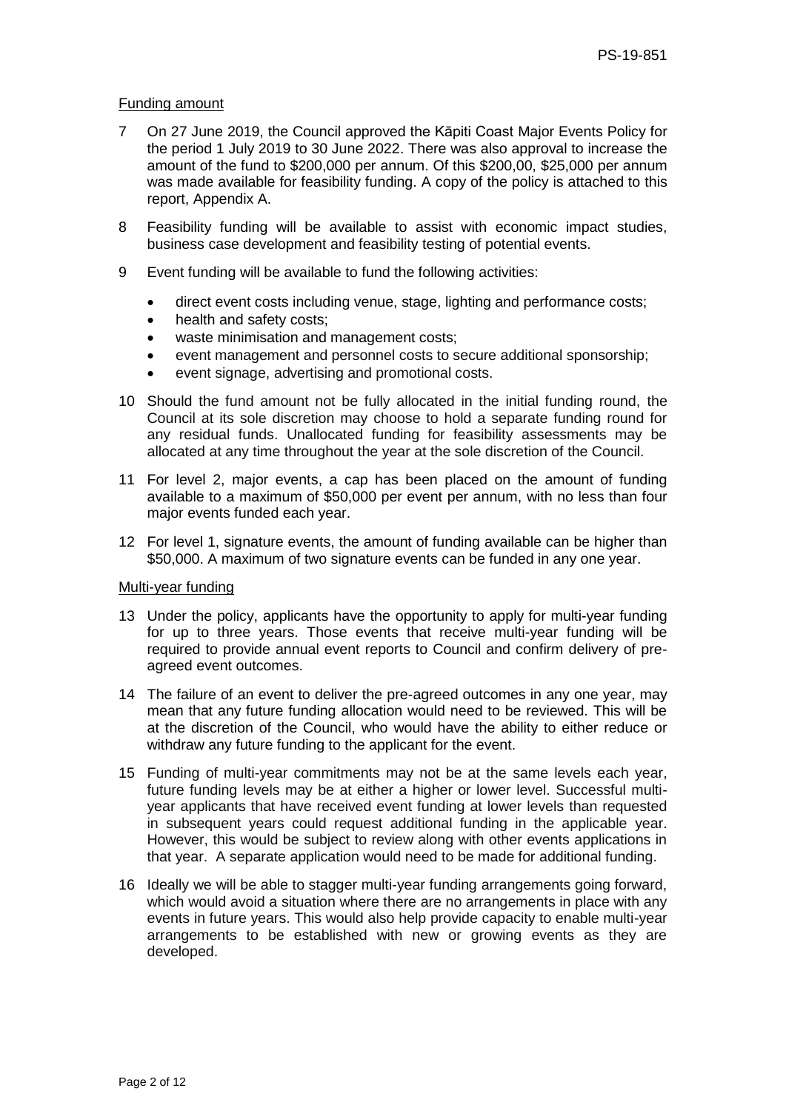#### Funding amount

- 7 On 27 June 2019, the Council approved the Kāpiti Coast Major Events Policy for the period 1 July 2019 to 30 June 2022. There was also approval to increase the amount of the fund to \$200,000 per annum. Of this \$200,00, \$25,000 per annum was made available for feasibility funding. A copy of the policy is attached to this report, Appendix A.
- 8 Feasibility funding will be available to assist with economic impact studies, business case development and feasibility testing of potential events.
- 9 Event funding will be available to fund the following activities:
	- direct event costs including venue, stage, lighting and performance costs;
	- health and safety costs;
	- waste minimisation and management costs;
	- event management and personnel costs to secure additional sponsorship;
	- event signage, advertising and promotional costs.
- 10 Should the fund amount not be fully allocated in the initial funding round, the Council at its sole discretion may choose to hold a separate funding round for any residual funds. Unallocated funding for feasibility assessments may be allocated at any time throughout the year at the sole discretion of the Council.
- 11 For level 2, major events, a cap has been placed on the amount of funding available to a maximum of \$50,000 per event per annum, with no less than four major events funded each year.
- 12 For level 1, signature events, the amount of funding available can be higher than \$50,000. A maximum of two signature events can be funded in any one year.

## Multi-year funding

- 13 Under the policy, applicants have the opportunity to apply for multi-year funding for up to three years. Those events that receive multi-year funding will be required to provide annual event reports to Council and confirm delivery of preagreed event outcomes.
- 14 The failure of an event to deliver the pre-agreed outcomes in any one year, may mean that any future funding allocation would need to be reviewed. This will be at the discretion of the Council, who would have the ability to either reduce or withdraw any future funding to the applicant for the event.
- 15 Funding of multi-year commitments may not be at the same levels each year, future funding levels may be at either a higher or lower level. Successful multiyear applicants that have received event funding at lower levels than requested in subsequent years could request additional funding in the applicable year. However, this would be subject to review along with other events applications in that year. A separate application would need to be made for additional funding.
- 16 Ideally we will be able to stagger multi-year funding arrangements going forward, which would avoid a situation where there are no arrangements in place with any events in future years. This would also help provide capacity to enable multi-year arrangements to be established with new or growing events as they are developed.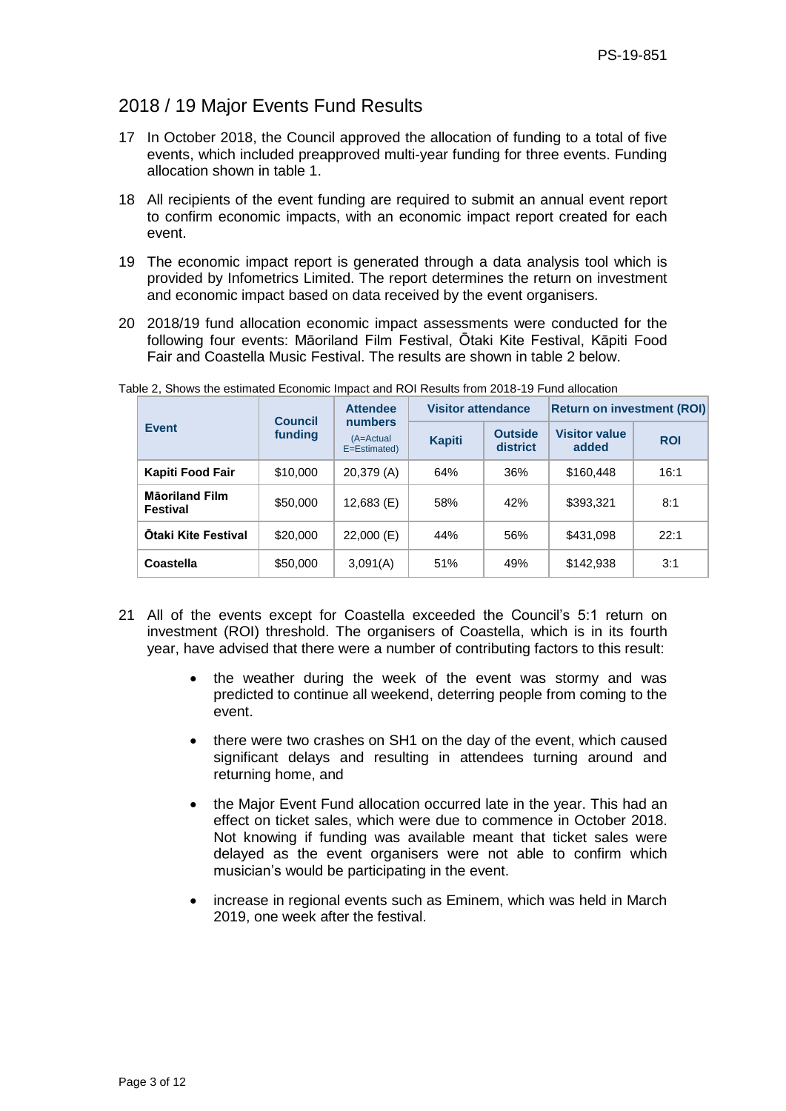# 2018 / 19 Major Events Fund Results

- 17 In October 2018, the Council approved the allocation of funding to a total of five events, which included preapproved multi-year funding for three events. Funding allocation shown in table 1.
- 18 All recipients of the event funding are required to submit an annual event report to confirm economic impacts, with an economic impact report created for each event.
- 19 The economic impact report is generated through a data analysis tool which is provided by Infometrics Limited. The report determines the return on investment and economic impact based on data received by the event organisers.
- 20 2018/19 fund allocation economic impact assessments were conducted for the following four events: Māoriland Film Festival, Ōtaki Kite Festival, Kāpiti Food Fair and Coastella Music Festival. The results are shown in table 2 below.

|                                          | <b>Council</b> | <b>Attendee</b><br>numbers     | <b>Visitor attendance</b> |                            | <b>Return on investment (ROI)</b> |            |
|------------------------------------------|----------------|--------------------------------|---------------------------|----------------------------|-----------------------------------|------------|
| <b>Event</b>                             | funding        | $(A = Actual)$<br>E=Estimated) | <b>Kapiti</b>             | <b>Outside</b><br>district | <b>Visitor value</b><br>added     | <b>ROI</b> |
| Kapiti Food Fair                         | \$10,000       | 20,379 (A)                     | 64%                       | 36%                        | \$160,448                         | 16:1       |
| <b>Mäoriland Film</b><br><b>Festival</b> | \$50,000       | $12,683$ (E)                   | 58%                       | 42%                        | \$393,321                         | 8:1        |
| <b>Otaki Kite Festival</b>               | \$20,000       | $22,000$ (E)                   | 44%                       | 56%                        | \$431,098                         | 22:1       |
| Coastella                                | \$50,000       | 3,091(A)                       | 51%                       | 49%                        | \$142,938                         | 3:1        |

Table 2, Shows the estimated Economic Impact and ROI Results from 2018-19 Fund allocation

- 21 All of the events except for Coastella exceeded the Council's 5:1 return on investment (ROI) threshold. The organisers of Coastella, which is in its fourth year, have advised that there were a number of contributing factors to this result:
	- the weather during the week of the event was stormy and was predicted to continue all weekend, deterring people from coming to the event.
	- there were two crashes on SH1 on the day of the event, which caused significant delays and resulting in attendees turning around and returning home, and
	- the Major Event Fund allocation occurred late in the year. This had an effect on ticket sales, which were due to commence in October 2018. Not knowing if funding was available meant that ticket sales were delayed as the event organisers were not able to confirm which musician's would be participating in the event.
	- increase in regional events such as Eminem, which was held in March 2019, one week after the festival.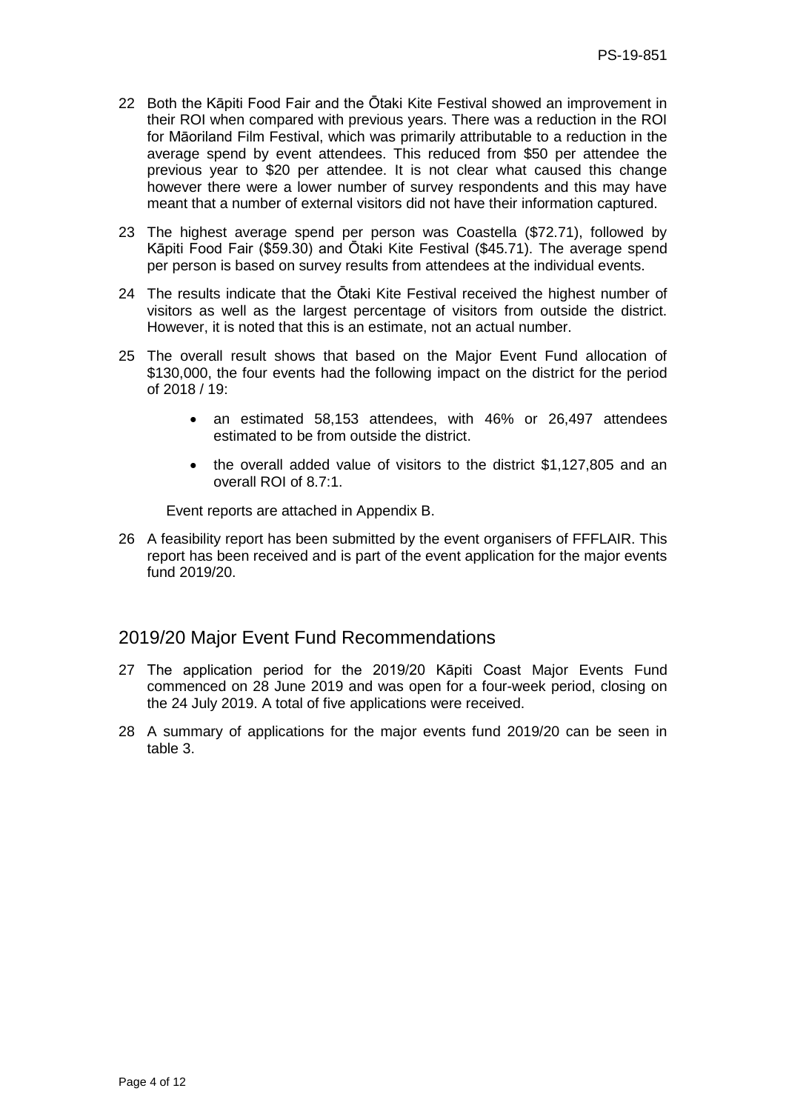- 22 Both the Kāpiti Food Fair and the Ōtaki Kite Festival showed an improvement in their ROI when compared with previous years. There was a reduction in the ROI for Māoriland Film Festival, which was primarily attributable to a reduction in the average spend by event attendees. This reduced from \$50 per attendee the previous year to \$20 per attendee. It is not clear what caused this change however there were a lower number of survey respondents and this may have meant that a number of external visitors did not have their information captured.
- 23 The highest average spend per person was Coastella (\$72.71), followed by Kāpiti Food Fair (\$59.30) and Ōtaki Kite Festival (\$45.71). The average spend per person is based on survey results from attendees at the individual events.
- 24 The results indicate that the Ōtaki Kite Festival received the highest number of visitors as well as the largest percentage of visitors from outside the district. However, it is noted that this is an estimate, not an actual number.
- 25 The overall result shows that based on the Major Event Fund allocation of \$130,000, the four events had the following impact on the district for the period of 2018 / 19:
	- an estimated 58,153 attendees, with 46% or 26,497 attendees estimated to be from outside the district.
	- the overall added value of visitors to the district \$1,127,805 and an overall ROI of 8.7:1.

Event reports are attached in Appendix B.

26 A feasibility report has been submitted by the event organisers of FFFLAIR. This report has been received and is part of the event application for the major events fund 2019/20.

# 2019/20 Major Event Fund Recommendations

- 27 The application period for the 2019/20 Kāpiti Coast Major Events Fund commenced on 28 June 2019 and was open for a four-week period, closing on the 24 July 2019. A total of five applications were received.
- 28 A summary of applications for the major events fund 2019/20 can be seen in table 3.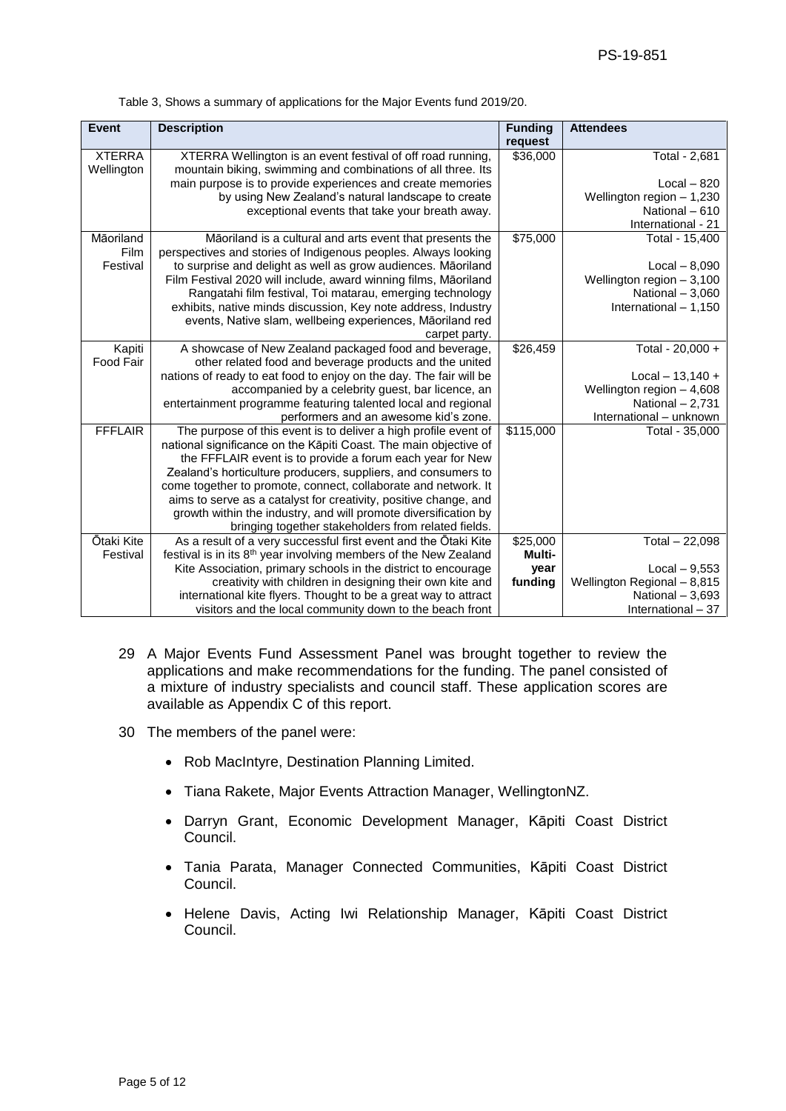| <b>Event</b>   | <b>Description</b>                                                           | <b>Funding</b> | <b>Attendees</b>            |
|----------------|------------------------------------------------------------------------------|----------------|-----------------------------|
|                |                                                                              | request        |                             |
| <b>XTERRA</b>  | XTERRA Wellington is an event festival of off road running,                  | \$36,000       | Total - 2,681               |
| Wellington     | mountain biking, swimming and combinations of all three. Its                 |                |                             |
|                | main purpose is to provide experiences and create memories                   |                | $Local - 820$               |
|                | by using New Zealand's natural landscape to create                           |                | Wellington region $-1,230$  |
|                | exceptional events that take your breath away.                               |                | National - 610              |
|                |                                                                              |                | International - 21          |
| Māoriland      | Māoriland is a cultural and arts event that presents the                     | \$75,000       | Total - 15,400              |
| Film           | perspectives and stories of Indigenous peoples. Always looking               |                |                             |
| Festival       | to surprise and delight as well as grow audiences. Māoriland                 |                | $Local - 8,090$             |
|                | Film Festival 2020 will include, award winning films, Māoriland              |                | Wellington region $-3,100$  |
|                | Rangatahi film festival, Toi matarau, emerging technology                    |                | National $-3,060$           |
|                | exhibits, native minds discussion, Key note address, Industry                |                | International - 1,150       |
|                | events, Native slam, wellbeing experiences, Māoriland red                    |                |                             |
|                | carpet party.                                                                |                |                             |
| Kapiti         | A showcase of New Zealand packaged food and beverage,                        | \$26,459       | Total - 20,000 +            |
| Food Fair      | other related food and beverage products and the united                      |                |                             |
|                | nations of ready to eat food to enjoy on the day. The fair will be           |                | $Local - 13,140 +$          |
|                | accompanied by a celebrity guest, bar licence, an                            |                | Wellington region $-4,608$  |
|                | entertainment programme featuring talented local and regional                |                | National $-2,731$           |
|                | performers and an awesome kid's zone.                                        |                | International - unknown     |
| <b>FFFLAIR</b> | The purpose of this event is to deliver a high profile event of              | \$115,000      | Total - 35,000              |
|                | national significance on the Kāpiti Coast. The main objective of             |                |                             |
|                | the FFFLAIR event is to provide a forum each year for New                    |                |                             |
|                | Zealand's horticulture producers, suppliers, and consumers to                |                |                             |
|                | come together to promote, connect, collaborate and network. It               |                |                             |
|                | aims to serve as a catalyst for creativity, positive change, and             |                |                             |
|                | growth within the industry, and will promote diversification by              |                |                             |
|                | bringing together stakeholders from related fields.                          |                |                             |
| Ōtaki Kite     | As a result of a very successful first event and the Otaki Kite              | \$25,000       | Total $-22,098$             |
| Festival       | festival is in its 8 <sup>th</sup> year involving members of the New Zealand | Multi-         |                             |
|                | Kite Association, primary schools in the district to encourage               | year           | $Local - 9,553$             |
|                | creativity with children in designing their own kite and                     | funding        | Wellington Regional - 8,815 |
|                | international kite flyers. Thought to be a great way to attract              |                | National $-3,693$           |
|                | visitors and the local community down to the beach front                     |                | International - 37          |

Table 3, Shows a summary of applications for the Major Events fund 2019/20.

- 29 A Major Events Fund Assessment Panel was brought together to review the applications and make recommendations for the funding. The panel consisted of a mixture of industry specialists and council staff. These application scores are available as Appendix C of this report.
- 30 The members of the panel were:
	- Rob MacIntyre, Destination Planning Limited.
	- Tiana Rakete, Major Events Attraction Manager, WellingtonNZ.
	- Darryn Grant, Economic Development Manager, Kāpiti Coast District Council.
	- Tania Parata, Manager Connected Communities, Kāpiti Coast District Council.
	- Helene Davis, Acting Iwi Relationship Manager, Kāpiti Coast District Council.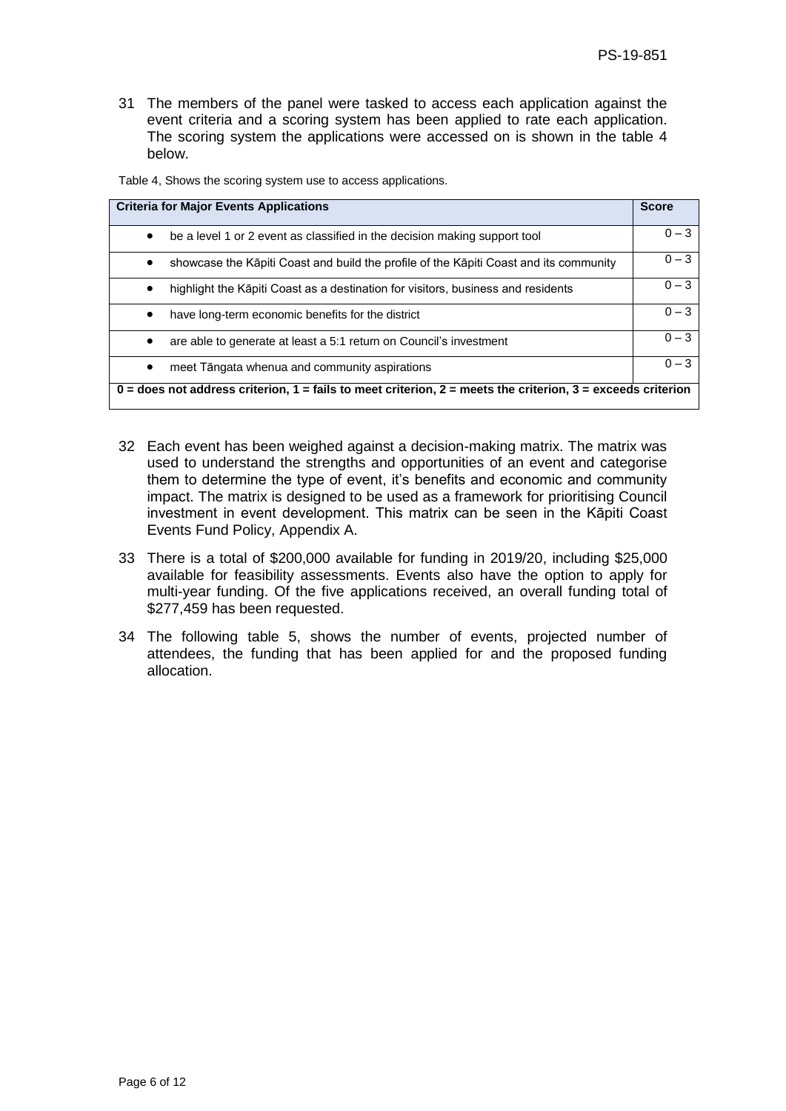31 The members of the panel were tasked to access each application against the event criteria and a scoring system has been applied to rate each application. The scoring system the applications were accessed on is shown in the table 4 below.

Table 4, Shows the scoring system use to access applications.

| <b>Criteria for Major Events Applications</b>                                                                 | <b>Score</b> |
|---------------------------------------------------------------------------------------------------------------|--------------|
| be a level 1 or 2 event as classified in the decision making support tool<br>$\bullet$                        | $0 - 3$      |
| showcase the Kāpiti Coast and build the profile of the Kāpiti Coast and its community<br>٠                    | $0 - 3$      |
| highlight the Kapiti Coast as a destination for visitors, business and residents<br>$\bullet$                 | $0 - 3$      |
| have long-term economic benefits for the district                                                             | $0 - 3$      |
| are able to generate at least a 5:1 return on Council's investment                                            | $0 - 3$      |
| meet Tāngata whenua and community aspirations<br>$\bullet$                                                    | $0 - 3$      |
| $0 =$ does not address criterion, 1 = fails to meet criterion, 2 = meets the criterion, 3 = exceeds criterion |              |

- 32 Each event has been weighed against a decision-making matrix. The matrix was used to understand the strengths and opportunities of an event and categorise them to determine the type of event, it's benefits and economic and community impact. The matrix is designed to be used as a framework for prioritising Council investment in event development. This matrix can be seen in the Kāpiti Coast Events Fund Policy, Appendix A.
- 33 There is a total of \$200,000 available for funding in 2019/20, including \$25,000 available for feasibility assessments. Events also have the option to apply for multi-year funding. Of the five applications received, an overall funding total of \$277,459 has been requested.
- 34 The following table 5, shows the number of events, projected number of attendees, the funding that has been applied for and the proposed funding allocation.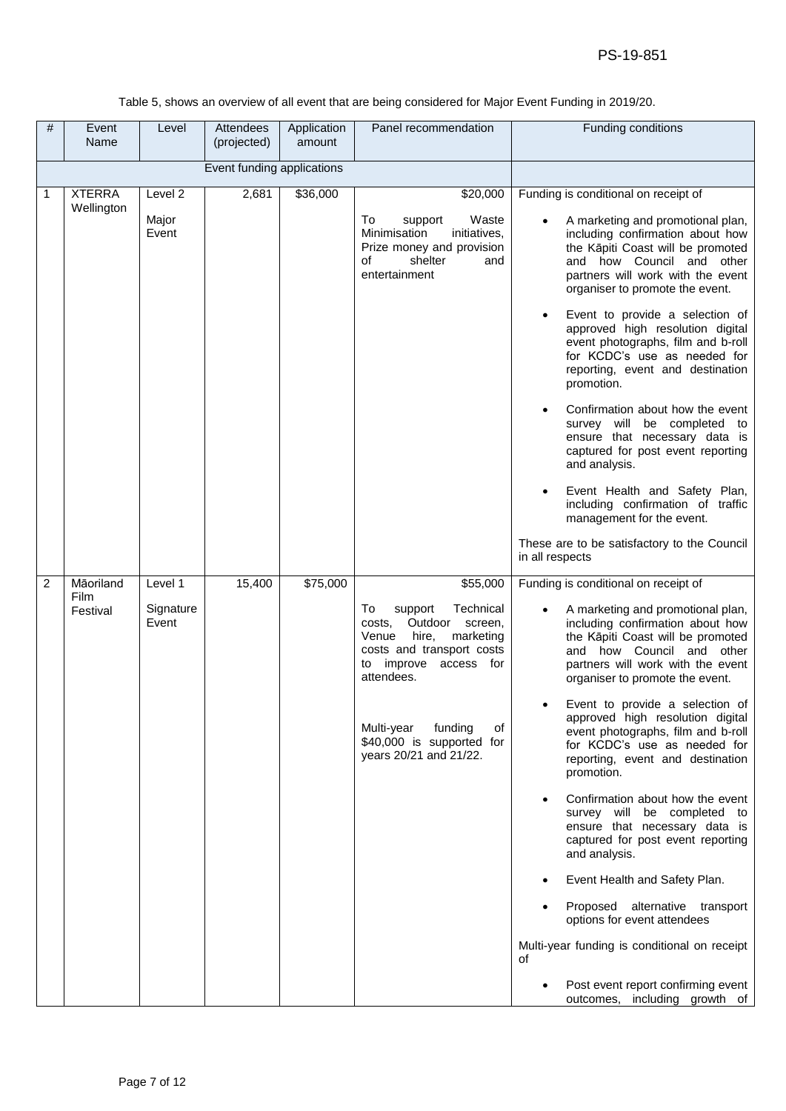#### Table 5, shows an overview of all event that are being considered for Major Event Funding in 2019/20.

| # | Event<br>Name     | Level              | Attendees<br>(projected)   | Application<br>amount | Panel recommendation                                                                                                                                             | Funding conditions                                                                                                                                                                                                                                                                     |
|---|-------------------|--------------------|----------------------------|-----------------------|------------------------------------------------------------------------------------------------------------------------------------------------------------------|----------------------------------------------------------------------------------------------------------------------------------------------------------------------------------------------------------------------------------------------------------------------------------------|
|   |                   |                    | Event funding applications |                       |                                                                                                                                                                  |                                                                                                                                                                                                                                                                                        |
| 1 | <b>XTERRA</b>     | Level 2            | 2,681                      | \$36,000              | \$20,000                                                                                                                                                         | Funding is conditional on receipt of                                                                                                                                                                                                                                                   |
|   | Wellington        | Major<br>Event     |                            |                       | Waste<br>To<br>support<br>Minimisation<br>initiatives,<br>Prize money and provision<br>shelter<br>of<br>and<br>entertainment                                     | A marketing and promotional plan,<br>including confirmation about how<br>the Kāpiti Coast will be promoted<br>and how Council and other<br>partners will work with the event<br>organiser to promote the event.<br>Event to provide a selection of<br>approved high resolution digital |
|   |                   |                    |                            |                       |                                                                                                                                                                  | event photographs, film and b-roll<br>for KCDC's use as needed for<br>reporting, event and destination<br>promotion.                                                                                                                                                                   |
|   |                   |                    |                            |                       |                                                                                                                                                                  | Confirmation about how the event<br>survey will be completed to<br>ensure that necessary data is<br>captured for post event reporting<br>and analysis.                                                                                                                                 |
|   |                   |                    |                            |                       |                                                                                                                                                                  | Event Health and Safety Plan,<br>including confirmation of traffic<br>management for the event.                                                                                                                                                                                        |
|   |                   |                    |                            |                       |                                                                                                                                                                  | These are to be satisfactory to the Council<br>in all respects                                                                                                                                                                                                                         |
| 2 | Māoriland<br>Film | Level 1            | 15,400                     | \$75,000              | \$55,000                                                                                                                                                         | Funding is conditional on receipt of                                                                                                                                                                                                                                                   |
|   | Festival          | Signature<br>Event |                            |                       | Technical<br>To<br>support<br>Outdoor<br>costs.<br>screen,<br>hire,<br>Venue<br>marketing<br>costs and transport costs<br>improve access for<br>to<br>attendees. | A marketing and promotional plan,<br>including confirmation about how<br>the Kāpiti Coast will be promoted<br>and how Council and other<br>partners will work with the event<br>organiser to promote the event.                                                                        |
|   |                   |                    |                            |                       | Multi-year<br>funding<br>of<br>\$40,000 is supported for<br>years 20/21 and 21/22.                                                                               | Event to provide a selection of<br>approved high resolution digital<br>event photographs, film and b-roll<br>for KCDC's use as needed for<br>reporting, event and destination<br>promotion.                                                                                            |
|   |                   |                    |                            |                       |                                                                                                                                                                  | Confirmation about how the event<br>survey will be completed to<br>ensure that necessary data is<br>captured for post event reporting<br>and analysis.                                                                                                                                 |
|   |                   |                    |                            |                       |                                                                                                                                                                  | Event Health and Safety Plan.                                                                                                                                                                                                                                                          |
|   |                   |                    |                            |                       |                                                                                                                                                                  | Proposed alternative transport<br>options for event attendees                                                                                                                                                                                                                          |
|   |                   |                    |                            |                       |                                                                                                                                                                  | Multi-year funding is conditional on receipt<br>οf                                                                                                                                                                                                                                     |
|   |                   |                    |                            |                       |                                                                                                                                                                  | Post event report confirming event<br>outcomes, including growth of                                                                                                                                                                                                                    |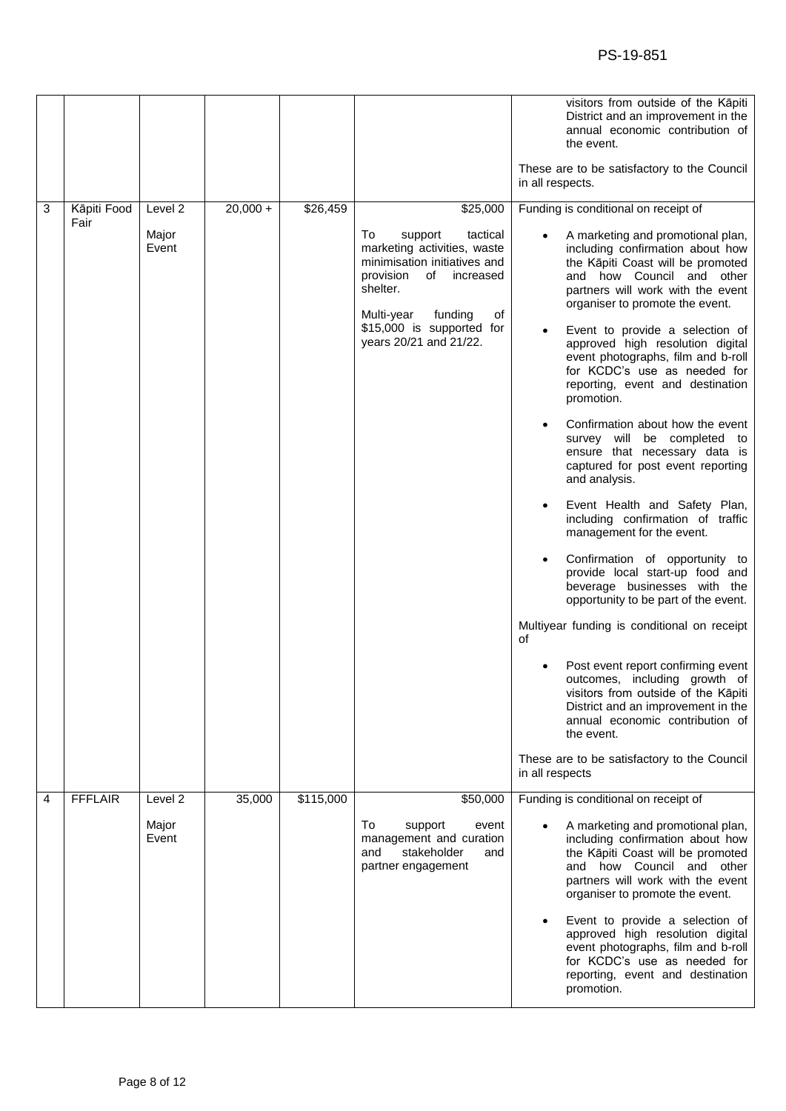|   |                |                    |            |           |                                                                                                                                                                                                                            | visitors from outside of the Kāpiti<br>District and an improvement in the<br>annual economic contribution of<br>the event.<br>These are to be satisfactory to the Council<br>in all respects.                                                                                                                                                                                                                                                                                                                                                                                                                                                                                                                                                                                                                                                                                                                                                                                                                                     |
|---|----------------|--------------------|------------|-----------|----------------------------------------------------------------------------------------------------------------------------------------------------------------------------------------------------------------------------|-----------------------------------------------------------------------------------------------------------------------------------------------------------------------------------------------------------------------------------------------------------------------------------------------------------------------------------------------------------------------------------------------------------------------------------------------------------------------------------------------------------------------------------------------------------------------------------------------------------------------------------------------------------------------------------------------------------------------------------------------------------------------------------------------------------------------------------------------------------------------------------------------------------------------------------------------------------------------------------------------------------------------------------|
| 3 | Kāpiti Food    | Level <sub>2</sub> | $20,000 +$ | \$26,459  | \$25,000                                                                                                                                                                                                                   | Funding is conditional on receipt of                                                                                                                                                                                                                                                                                                                                                                                                                                                                                                                                                                                                                                                                                                                                                                                                                                                                                                                                                                                              |
|   | Fair           | Major<br>Event     |            |           | To<br>support<br>tactical<br>marketing activities, waste<br>minimisation initiatives and<br>provision<br>of<br>increased<br>shelter.<br>Multi-year<br>funding<br>оf<br>\$15,000 is supported for<br>years 20/21 and 21/22. | A marketing and promotional plan,<br>including confirmation about how<br>the Kāpiti Coast will be promoted<br>and how Council and other<br>partners will work with the event<br>organiser to promote the event.<br>Event to provide a selection of<br>approved high resolution digital<br>event photographs, film and b-roll<br>for KCDC's use as needed for<br>reporting, event and destination<br>promotion.<br>Confirmation about how the event<br>survey will be completed to<br>ensure that necessary data is<br>captured for post event reporting<br>and analysis.<br>Event Health and Safety Plan,<br>including confirmation of traffic<br>management for the event.<br>Confirmation of opportunity to<br>provide local start-up food and<br>beverage businesses with the<br>opportunity to be part of the event.<br>Multiyear funding is conditional on receipt<br>of<br>Post event report confirming event<br>outcomes, including growth of<br>visitors from outside of the Kāpiti<br>District and an improvement in the |
|   |                |                    |            |           |                                                                                                                                                                                                                            | annual economic contribution of<br>the event.                                                                                                                                                                                                                                                                                                                                                                                                                                                                                                                                                                                                                                                                                                                                                                                                                                                                                                                                                                                     |
|   |                |                    |            |           |                                                                                                                                                                                                                            | These are to be satisfactory to the Council<br>in all respects                                                                                                                                                                                                                                                                                                                                                                                                                                                                                                                                                                                                                                                                                                                                                                                                                                                                                                                                                                    |
| 4 | <b>FFFLAIR</b> | Level 2            | 35,000     | \$115,000 | \$50,000                                                                                                                                                                                                                   | Funding is conditional on receipt of                                                                                                                                                                                                                                                                                                                                                                                                                                                                                                                                                                                                                                                                                                                                                                                                                                                                                                                                                                                              |
|   |                | Major<br>Event     |            |           | To<br>support<br>event<br>management and curation<br>and<br>stakeholder<br>and<br>partner engagement                                                                                                                       | A marketing and promotional plan,<br>including confirmation about how<br>the Kāpiti Coast will be promoted<br>and how Council and other<br>partners will work with the event<br>organiser to promote the event.                                                                                                                                                                                                                                                                                                                                                                                                                                                                                                                                                                                                                                                                                                                                                                                                                   |
|   |                |                    |            |           |                                                                                                                                                                                                                            | Event to provide a selection of<br>approved high resolution digital<br>event photographs, film and b-roll<br>for KCDC's use as needed for<br>reporting, event and destination<br>promotion.                                                                                                                                                                                                                                                                                                                                                                                                                                                                                                                                                                                                                                                                                                                                                                                                                                       |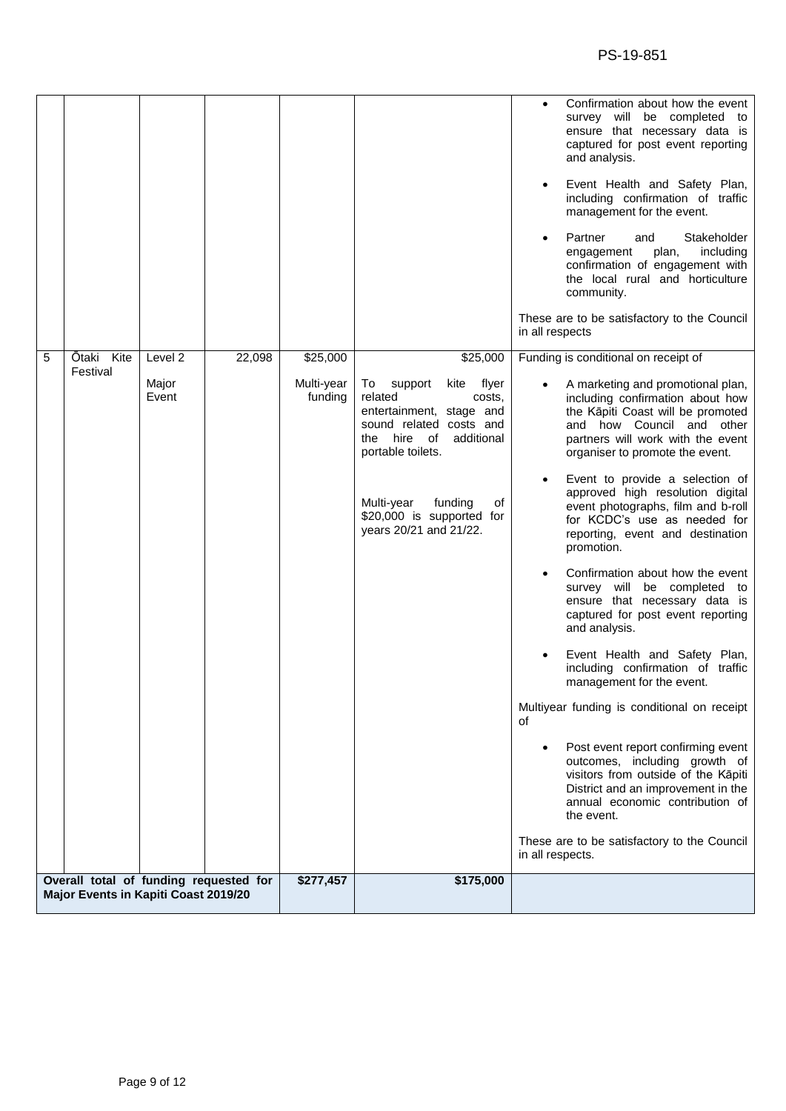|   |                                                                                |                           |        |                                   |                                                                                          | Confirmation about how the event<br>survey will be completed to<br>ensure that necessary data is<br>captured for post event reporting<br>and analysis.<br>Event Health and Safety Plan,<br>including confirmation of traffic<br>management for the event.<br>Partner<br>Stakeholder<br>and<br>plan,<br>including<br>engagement<br>confirmation of engagement with<br>the local rural and horticulture<br>community.<br>These are to be satisfactory to the Council<br>in all respects |
|---|--------------------------------------------------------------------------------|---------------------------|--------|-----------------------------------|------------------------------------------------------------------------------------------|---------------------------------------------------------------------------------------------------------------------------------------------------------------------------------------------------------------------------------------------------------------------------------------------------------------------------------------------------------------------------------------------------------------------------------------------------------------------------------------|
| 5 | Kite<br>Ōtaki<br>Festival                                                      | Level 2<br>Major<br>Event | 22,098 | \$25,000<br>Multi-year<br>funding | \$25,000<br>support<br>To<br>kite flyer<br>related<br>costs,<br>entertainment, stage and | Funding is conditional on receipt of<br>A marketing and promotional plan,<br>including confirmation about how<br>the Kāpiti Coast will be promoted                                                                                                                                                                                                                                                                                                                                    |
|   |                                                                                |                           |        |                                   | sound related costs and<br>the hire<br>of<br>additional<br>portable toilets.             | and how Council and other<br>partners will work with the event<br>organiser to promote the event.                                                                                                                                                                                                                                                                                                                                                                                     |
|   |                                                                                |                           |        |                                   | Multi-year<br>funding<br>οf<br>\$20,000 is supported for<br>years 20/21 and 21/22.       | Event to provide a selection of<br>approved high resolution digital<br>event photographs, film and b-roll<br>for KCDC's use as needed for<br>reporting, event and destination<br>promotion.                                                                                                                                                                                                                                                                                           |
|   |                                                                                |                           |        |                                   |                                                                                          | Confirmation about how the event<br>survey will be completed to<br>ensure that necessary data is<br>captured for post event reporting<br>and analysis.                                                                                                                                                                                                                                                                                                                                |
|   |                                                                                |                           |        |                                   |                                                                                          | Event Health and Safety Plan,<br>including confirmation of traffic<br>management for the event.                                                                                                                                                                                                                                                                                                                                                                                       |
|   |                                                                                |                           |        |                                   |                                                                                          | Multiyear funding is conditional on receipt<br>of                                                                                                                                                                                                                                                                                                                                                                                                                                     |
|   |                                                                                |                           |        |                                   |                                                                                          | Post event report confirming event<br>outcomes, including growth of<br>visitors from outside of the Kāpiti<br>District and an improvement in the<br>annual economic contribution of<br>the event.                                                                                                                                                                                                                                                                                     |
|   |                                                                                |                           |        |                                   |                                                                                          | These are to be satisfactory to the Council<br>in all respects.                                                                                                                                                                                                                                                                                                                                                                                                                       |
|   | Overall total of funding requested for<br>Major Events in Kapiti Coast 2019/20 |                           |        | \$277,457                         | \$175,000                                                                                |                                                                                                                                                                                                                                                                                                                                                                                                                                                                                       |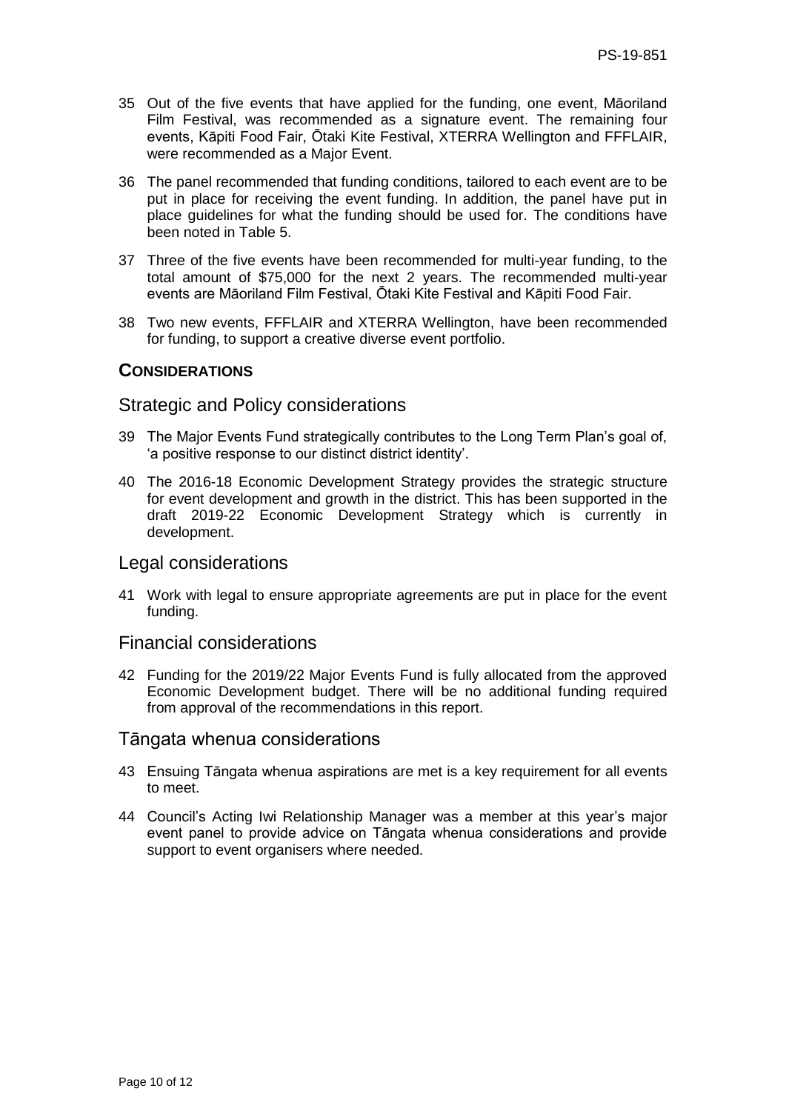- 35 Out of the five events that have applied for the funding, one event, Māoriland Film Festival, was recommended as a signature event. The remaining four events, Kāpiti Food Fair, Ōtaki Kite Festival, XTERRA Wellington and FFFLAIR, were recommended as a Major Event.
- 36 The panel recommended that funding conditions, tailored to each event are to be put in place for receiving the event funding. In addition, the panel have put in place guidelines for what the funding should be used for. The conditions have been noted in Table 5.
- 37 Three of the five events have been recommended for multi-year funding, to the total amount of \$75,000 for the next 2 years. The recommended multi-year events are Māoriland Film Festival, Ōtaki Kite Festival and Kāpiti Food Fair.
- 38 Two new events, FFFLAIR and XTERRA Wellington, have been recommended for funding, to support a creative diverse event portfolio.

## **CONSIDERATIONS**

### Strategic and Policy considerations

- 39 The Major Events Fund strategically contributes to the Long Term Plan's goal of, 'a positive response to our distinct district identity'.
- 40 The 2016-18 Economic Development Strategy provides the strategic structure for event development and growth in the district. This has been supported in the draft 2019-22 Economic Development Strategy which is currently in development.

### Legal considerations

41 Work with legal to ensure appropriate agreements are put in place for the event funding.

# Financial considerations

42 Funding for the 2019/22 Major Events Fund is fully allocated from the approved Economic Development budget. There will be no additional funding required from approval of the recommendations in this report.

#### Tāngata whenua considerations

- 43 Ensuing Tāngata whenua aspirations are met is a key requirement for all events to meet.
- 44 Council's Acting Iwi Relationship Manager was a member at this year's major event panel to provide advice on Tāngata whenua considerations and provide support to event organisers where needed.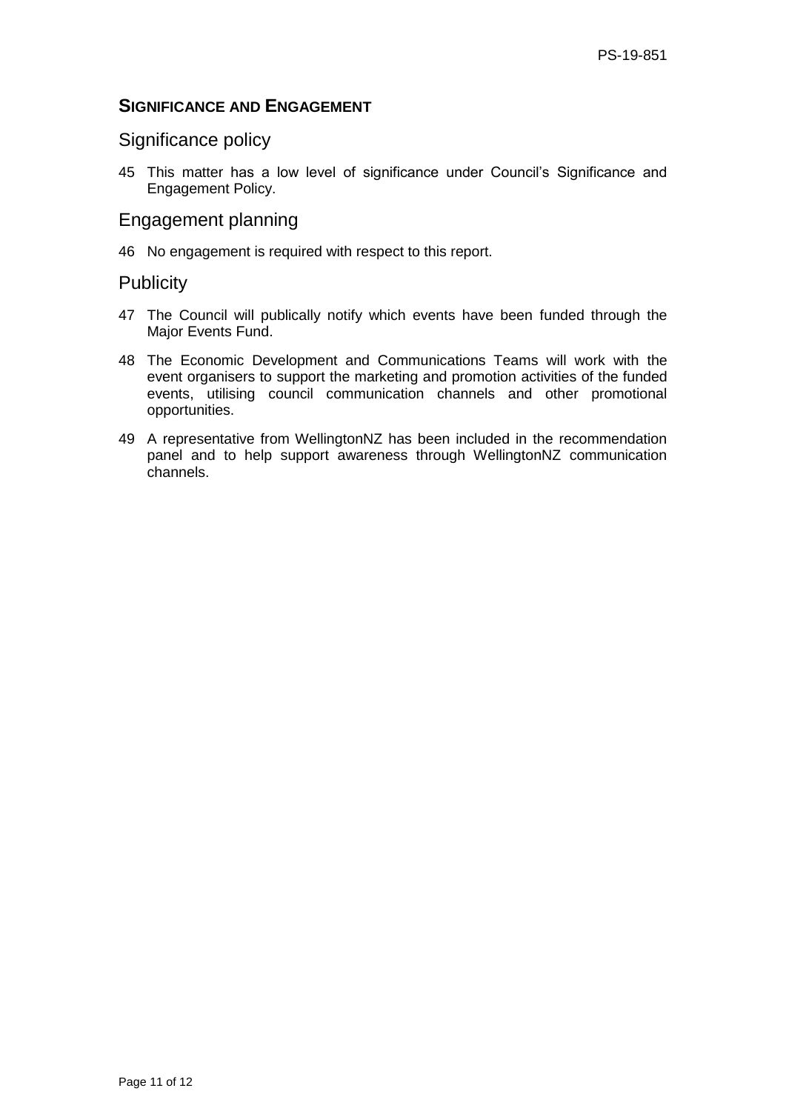# **SIGNIFICANCE AND ENGAGEMENT**

# Significance policy

45 This matter has a low level of significance under Council's Significance and Engagement Policy.

# Engagement planning

46 No engagement is required with respect to this report.

## **Publicity**

- 47 The Council will publically notify which events have been funded through the Major Events Fund.
- 48 The Economic Development and Communications Teams will work with the event organisers to support the marketing and promotion activities of the funded events, utilising council communication channels and other promotional opportunities.
- 49 A representative from WellingtonNZ has been included in the recommendation panel and to help support awareness through WellingtonNZ communication channels.